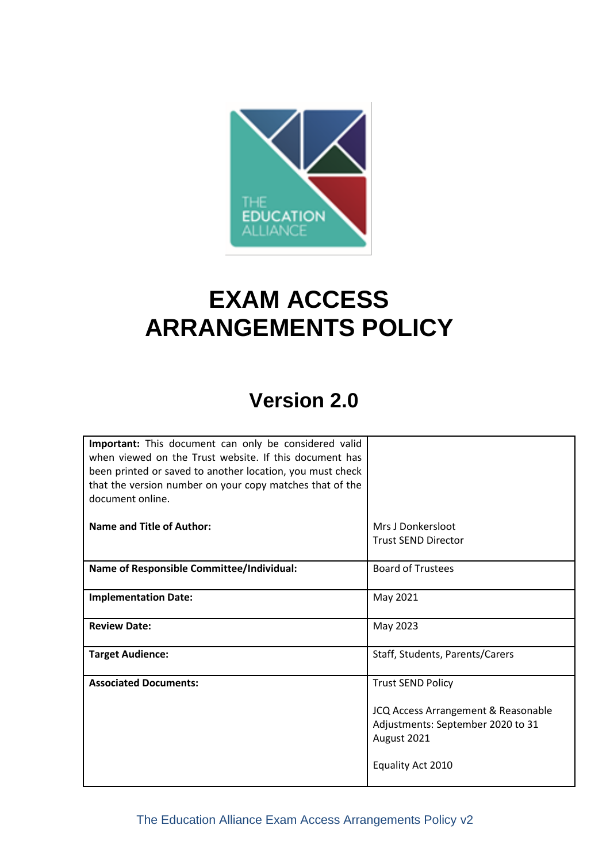

# **EXAM ACCESS ARRANGEMENTS POLICY**

## **Version 2.0**

| Important: This document can only be considered valid     |                                     |
|-----------------------------------------------------------|-------------------------------------|
| when viewed on the Trust website. If this document has    |                                     |
| been printed or saved to another location, you must check |                                     |
| that the version number on your copy matches that of the  |                                     |
| document online.                                          |                                     |
|                                                           |                                     |
| Name and Title of Author:                                 | Mrs J Donkersloot                   |
|                                                           | <b>Trust SEND Director</b>          |
|                                                           |                                     |
| Name of Responsible Committee/Individual:                 | <b>Board of Trustees</b>            |
|                                                           |                                     |
| <b>Implementation Date:</b>                               | May 2021                            |
|                                                           |                                     |
| <b>Review Date:</b>                                       | May 2023                            |
|                                                           |                                     |
| <b>Target Audience:</b>                                   | Staff, Students, Parents/Carers     |
| <b>Associated Documents:</b>                              |                                     |
|                                                           | <b>Trust SEND Policy</b>            |
|                                                           | JCQ Access Arrangement & Reasonable |
|                                                           | Adjustments: September 2020 to 31   |
|                                                           | August 2021                         |
|                                                           |                                     |
|                                                           | Equality Act 2010                   |
|                                                           |                                     |
|                                                           |                                     |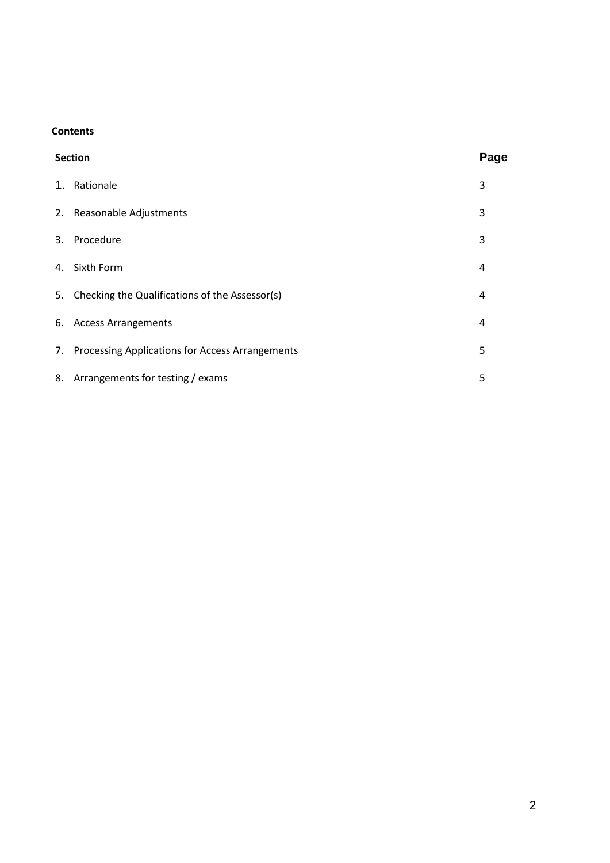#### **Contents**

| Page<br><b>Section</b>                             |   |
|----------------------------------------------------|---|
| 1. Rationale                                       | 3 |
| 2. Reasonable Adjustments                          | 3 |
| 3. Procedure                                       | 3 |
| 4. Sixth Form                                      | 4 |
| 5. Checking the Qualifications of the Assessor(s)  | 4 |
| 6. Access Arrangements                             | 4 |
| 7. Processing Applications for Access Arrangements | 5 |
| 8. Arrangements for testing / exams                | 5 |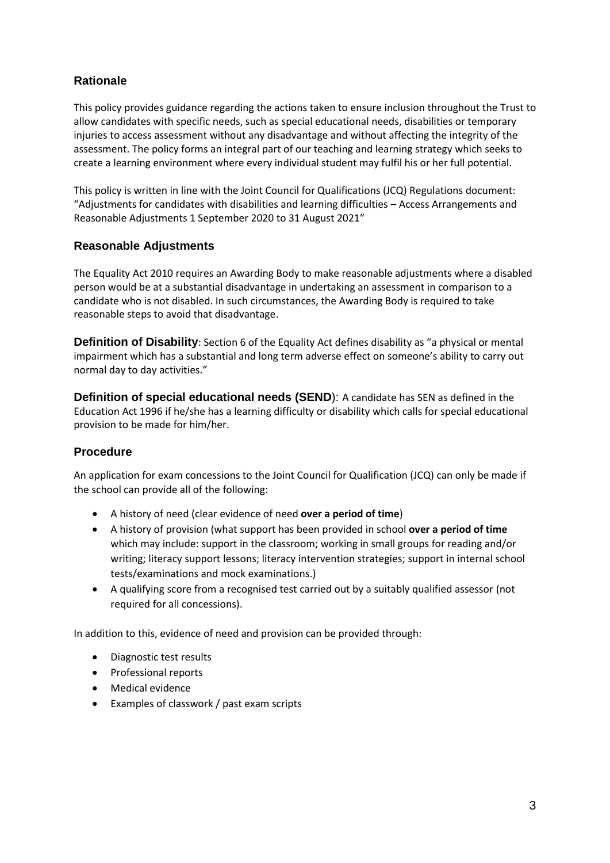## **Rationale**

This policy provides guidance regarding the actions taken to ensure inclusion throughout the Trust to allow candidates with specific needs, such as special educational needs, disabilities or temporary injuries to access assessment without any disadvantage and without affecting the integrity of the assessment. The policy forms an integral part of our teaching and learning strategy which seeks to create a learning environment where every individual student may fulfil his or her full potential.

This policy is written in line with the Joint Council for Qualifications (JCQ) Regulations document: "Adjustments for candidates with disabilities and learning difficulties – Access Arrangements and Reasonable Adjustments 1 September 2020 to 31 August 2021"

## **Reasonable Adjustments**

The Equality Act 2010 requires an Awarding Body to make reasonable adjustments where a disabled person would be at a substantial disadvantage in undertaking an assessment in comparison to a candidate who is not disabled. In such circumstances, the Awarding Body is required to take reasonable steps to avoid that disadvantage.

**Definition of Disability**: Section 6 of the Equality Act defines disability as "a physical or mental impairment which has a substantial and long term adverse effect on someone's ability to carry out normal day to day activities."

**Definition of special educational needs (SEND**): A candidate has SEN as defined in the Education Act 1996 if he/she has a learning difficulty or disability which calls for special educational provision to be made for him/her.

## **Procedure**

An application for exam concessions to the Joint Council for Qualification (JCQ) can only be made if the school can provide all of the following:

- A history of need (clear evidence of need **over a period of time**)
- A history of provision (what support has been provided in school **over a period of time** which may include: support in the classroom; working in small groups for reading and/or writing; literacy support lessons; literacy intervention strategies; support in internal school tests/examinations and mock examinations.)
- A qualifying score from a recognised test carried out by a suitably qualified assessor (not required for all concessions).

In addition to this, evidence of need and provision can be provided through:

- Diagnostic test results
- Professional reports
- Medical evidence
- Examples of classwork / past exam scripts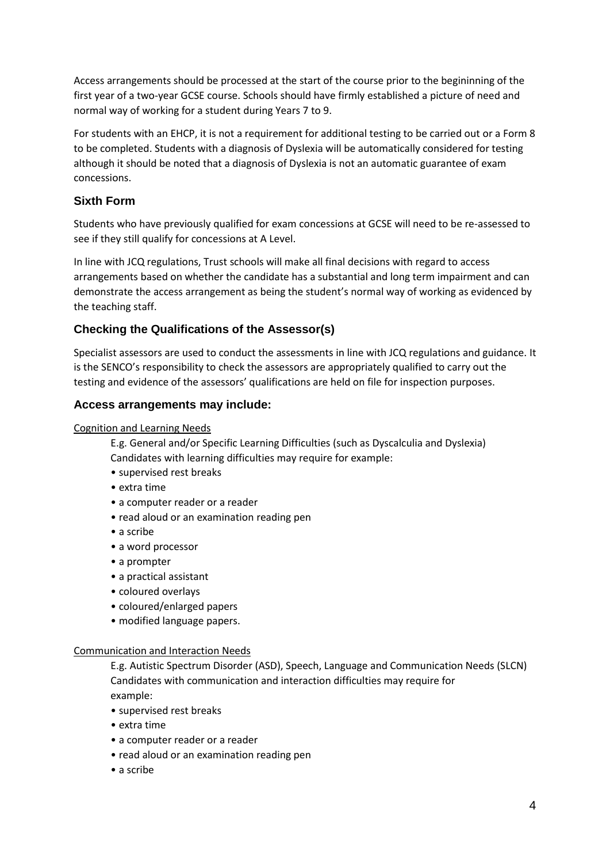Access arrangements should be processed at the start of the course prior to the begininning of the first year of a two-year GCSE course. Schools should have firmly established a picture of need and normal way of working for a student during Years 7 to 9.

For students with an EHCP, it is not a requirement for additional testing to be carried out or a Form 8 to be completed. Students with a diagnosis of Dyslexia will be automatically considered for testing although it should be noted that a diagnosis of Dyslexia is not an automatic guarantee of exam concessions.

## **Sixth Form**

Students who have previously qualified for exam concessions at GCSE will need to be re-assessed to see if they still qualify for concessions at A Level.

In line with JCQ regulations, Trust schools will make all final decisions with regard to access arrangements based on whether the candidate has a substantial and long term impairment and can demonstrate the access arrangement as being the student's normal way of working as evidenced by the teaching staff.

## **Checking the Qualifications of the Assessor(s)**

Specialist assessors are used to conduct the assessments in line with JCQ regulations and guidance. It is the SENCO's responsibility to check the assessors are appropriately qualified to carry out the testing and evidence of the assessors' qualifications are held on file for inspection purposes.

#### **Access arrangements may include:**

Cognition and Learning Needs

E.g. General and/or Specific Learning Difficulties (such as Dyscalculia and Dyslexia) Candidates with learning difficulties may require for example:

- supervised rest breaks
- extra time
- a computer reader or a reader
- read aloud or an examination reading pen
- a scribe
- a word processor
- a prompter
- a practical assistant
- coloured overlays
- coloured/enlarged papers
- modified language papers.

#### Communication and Interaction Needs

E.g. Autistic Spectrum Disorder (ASD), Speech, Language and Communication Needs (SLCN) Candidates with communication and interaction difficulties may require for example:

- supervised rest breaks
- extra time
- a computer reader or a reader
- read aloud or an examination reading pen
- a scribe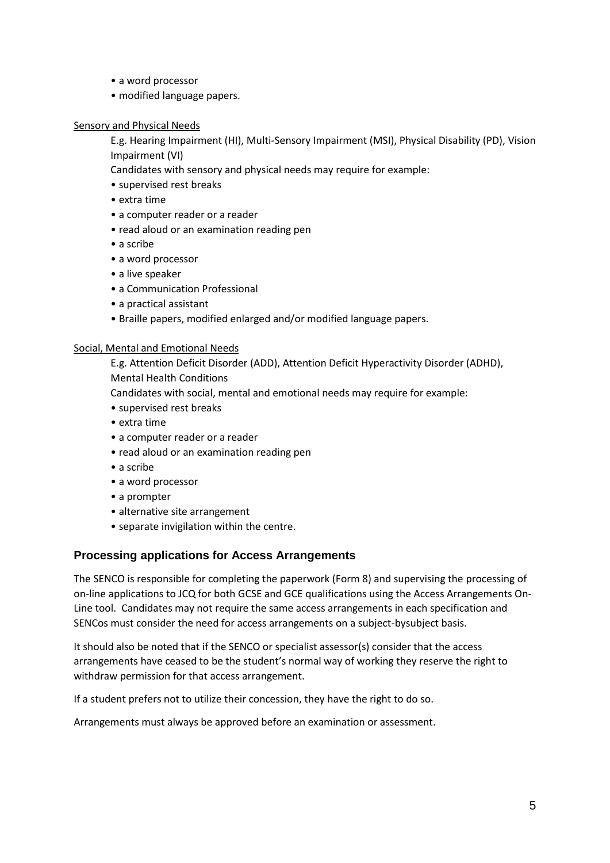- a word processor
- modified language papers.

#### Sensory and Physical Needs

E.g. Hearing Impairment (HI), Multi-Sensory Impairment (MSI), Physical Disability (PD), Vision Impairment (VI)

Candidates with sensory and physical needs may require for example:

- supervised rest breaks
- extra time
- a computer reader or a reader
- read aloud or an examination reading pen
- a scribe
- a word processor
- a live speaker
- a Communication Professional
- a practical assistant
- Braille papers, modified enlarged and/or modified language papers.

#### Social, Mental and Emotional Needs

E.g. Attention Deficit Disorder (ADD), Attention Deficit Hyperactivity Disorder (ADHD),

Mental Health Conditions

Candidates with social, mental and emotional needs may require for example:

- supervised rest breaks
- extra time
- a computer reader or a reader
- read aloud or an examination reading pen
- a scribe
- a word processor
- a prompter
- alternative site arrangement
- separate invigilation within the centre.

#### **Processing applications for Access Arrangements**

The SENCO is responsible for completing the paperwork (Form 8) and supervising the processing of on-line applications to JCQ for both GCSE and GCE qualifications using the Access Arrangements On-Line tool. Candidates may not require the same access arrangements in each specification and SENCos must consider the need for access arrangements on a subject-bysubject basis.

It should also be noted that if the SENCO or specialist assessor(s) consider that the access arrangements have ceased to be the student's normal way of working they reserve the right to withdraw permission for that access arrangement.

If a student prefers not to utilize their concession, they have the right to do so.

Arrangements must always be approved before an examination or assessment.